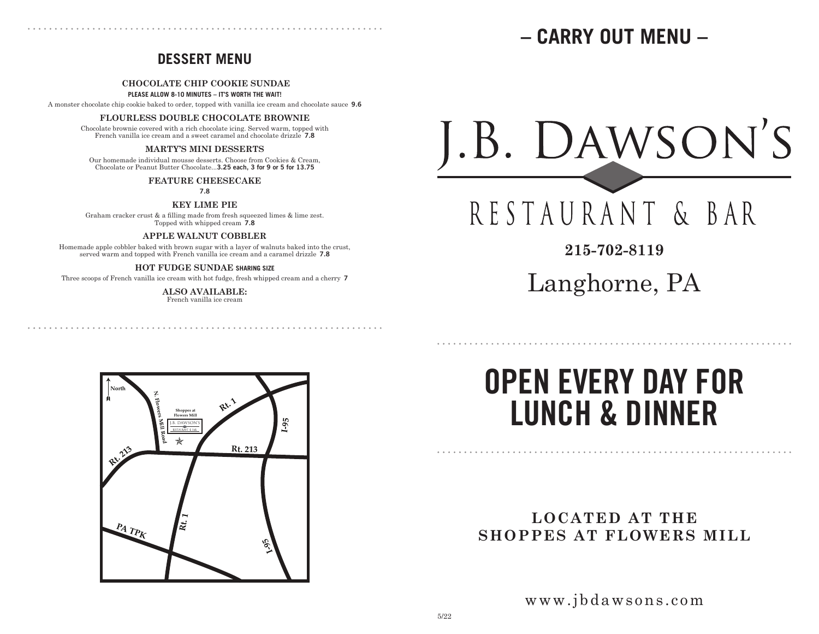## **– CARRY OUT MENU –**

### **DESSERT MENU**

#### **CHOCOLATE CHIP COOKIE SUNDAE**

**PLEASE ALLOW 8-10 MINUTES – IT'S WORTH THE WAIT!**

A monster chocolate chip cookie baked to order, topped with vanilla ice cream and chocolate sauce **9.6**

#### **FLOURLESS DOUBLE CHOCOLATE BROWNIE**

Chocolate brownie covered with a rich chocolate icing. Served warm, topped with French vanilla ice cream and a sweet caramel and chocolate drizzle **7.8**

### **MARTY'S MINI DESSERTS**

Our homemade individual mousse desserts. Choose from Cookies & Cream, Chocolate or Peanut Butter Chocolate...**3.25 each, 3 for 9 or 5 for 13.75**

#### **FEATURE CHEESECAKE**

**7.8**

**KEY LIME PIE**

Graham cracker crust & a filling made from fresh squeezed limes & lime zest. Topped with whipped cream **7.8**

**APPLE WALNUT COBBLER**

Homemade apple cobbler baked with brown sugar with a layer of walnuts baked into the crust, served warm and topped with French vanilla ice cream and a caramel drizzle **7.8**

### **HOT FUDGE SUNDAE SHARING SIZE**

Three scoops of French vanilla ice cream with hot fudge, fresh whipped cream and a cherry **7**

**ALSO AVAILABLE:**  French vanilla ice cream



RESTAURANT & BAR

**215-702-8119**

Langhorne, PA

. . . . . . . . . . . . . . . . . . . .

# **OPEN EVERY DAY FOR LUNCH & DINNER**

### **LOCATED AT THE SHOPPES AT FLOWERS MILL**

www.jbdawsons.com